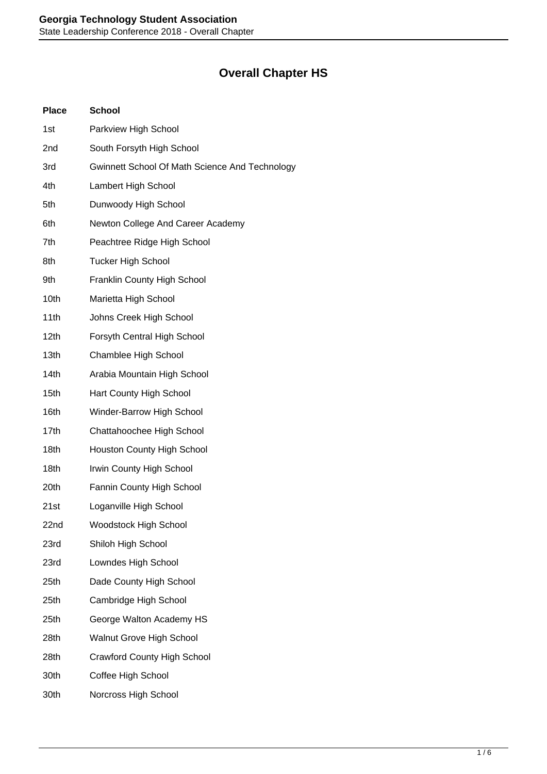## **Overall Chapter HS**

| <b>Place</b>     | <b>School</b>                                  |
|------------------|------------------------------------------------|
| 1st              | Parkview High School                           |
| 2nd              | South Forsyth High School                      |
| 3rd              | Gwinnett School Of Math Science And Technology |
| 4th              | Lambert High School                            |
| 5th              | Dunwoody High School                           |
| 6th              | Newton College And Career Academy              |
| 7th              | Peachtree Ridge High School                    |
| 8th              | <b>Tucker High School</b>                      |
| 9th              | Franklin County High School                    |
| 10th             | Marietta High School                           |
| 11th             | Johns Creek High School                        |
| 12 <sub>th</sub> | Forsyth Central High School                    |
| 13th             | Chamblee High School                           |
| 14th             | Arabia Mountain High School                    |
| 15th             | Hart County High School                        |
| 16th             | Winder-Barrow High School                      |
| 17th             | Chattahoochee High School                      |
| 18th             | <b>Houston County High School</b>              |
| 18th             | Irwin County High School                       |
| 20th             | Fannin County High School                      |
| 21st             | Loganville High School                         |
| 22nd             | <b>Woodstock High School</b>                   |
| 23rd             | Shiloh High School                             |
| 23rd             | Lowndes High School                            |
| 25th             | Dade County High School                        |
| 25th             | Cambridge High School                          |
| 25th             | George Walton Academy HS                       |
| 28th             | <b>Walnut Grove High School</b>                |
| 28th             | <b>Crawford County High School</b>             |
| 30th             | Coffee High School                             |
| 30th             | Norcross High School                           |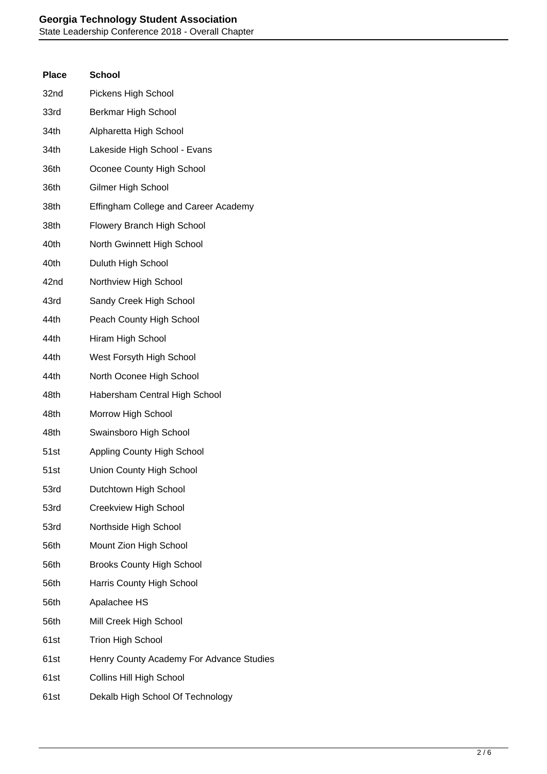| <b>Place</b> | <b>School</b>                            |
|--------------|------------------------------------------|
| 32nd         | Pickens High School                      |
| 33rd         | Berkmar High School                      |
| 34th         | Alpharetta High School                   |
| 34th         | Lakeside High School - Evans             |
| 36th         | Oconee County High School                |
| 36th         | Gilmer High School                       |
| 38th         | Effingham College and Career Academy     |
| 38th         | Flowery Branch High School               |
| 40th         | North Gwinnett High School               |
| 40th         | Duluth High School                       |
| 42nd         | Northview High School                    |
| 43rd         | Sandy Creek High School                  |
| 44th         | Peach County High School                 |
| 44th         | Hiram High School                        |
| 44th         | West Forsyth High School                 |
| 44th         | North Oconee High School                 |
| 48th         | Habersham Central High School            |
| 48th         | Morrow High School                       |
| 48th         | Swainsboro High School                   |
| 51st         | Appling County High School               |
| 51st         | Union County High School                 |
| 53rd         | Dutchtown High School                    |
| 53rd         | Creekview High School                    |
| 53rd         | Northside High School                    |
| 56th         | Mount Zion High School                   |
| 56th         | <b>Brooks County High School</b>         |
| 56th         | Harris County High School                |
| 56th         | Apalachee HS                             |
| 56th         | Mill Creek High School                   |
| 61st         | <b>Trion High School</b>                 |
| 61st         | Henry County Academy For Advance Studies |
| 61st         | <b>Collins Hill High School</b>          |
| 61st         | Dekalb High School Of Technology         |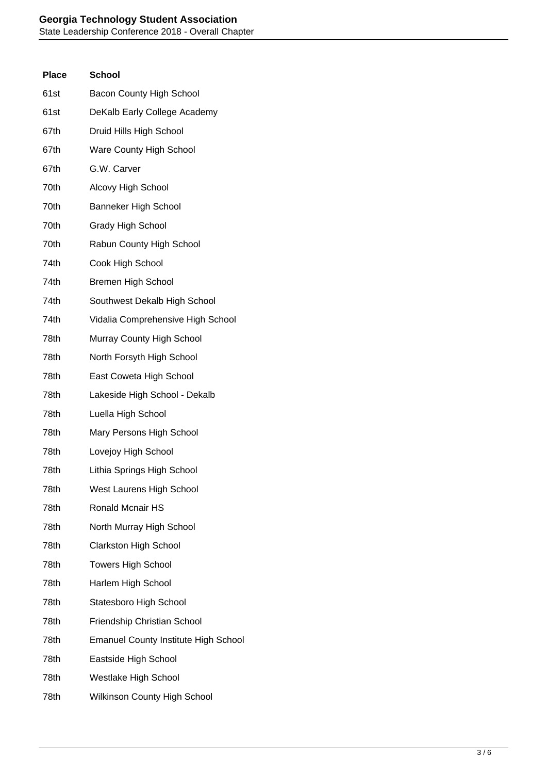## **Georgia Technology Student Association**

State Leadership Conference 2018 - Overall Chapter

| <b>Place</b> | <b>School</b>                               |
|--------------|---------------------------------------------|
| 61st         | <b>Bacon County High School</b>             |
| 61st         | DeKalb Early College Academy                |
| 67th         | Druid Hills High School                     |
| 67th         | Ware County High School                     |
| 67th         | G.W. Carver                                 |
| 70th         | Alcovy High School                          |
| 70th         | <b>Banneker High School</b>                 |
| 70th         | <b>Grady High School</b>                    |
| 70th         | Rabun County High School                    |
| 74th         | Cook High School                            |
| 74th         | <b>Bremen High School</b>                   |
| 74th         | Southwest Dekalb High School                |
| 74th         | Vidalia Comprehensive High School           |
| 78th         | Murray County High School                   |
| 78th         | North Forsyth High School                   |
| 78th         | East Coweta High School                     |
| 78th         | Lakeside High School - Dekalb               |
| 78th         | Luella High School                          |
| 78th         | Mary Persons High School                    |
| 78th         | Lovejoy High School                         |
| 78th         | Lithia Springs High School                  |
| 78th         | West Laurens High School                    |
| 78th         | <b>Ronald Mcnair HS</b>                     |
| 78th         | North Murray High School                    |
| 78th         | <b>Clarkston High School</b>                |
| 78th         | <b>Towers High School</b>                   |
| 78th         | Harlem High School                          |
| 78th         | Statesboro High School                      |
| 78th         | Friendship Christian School                 |
| 78th         | <b>Emanuel County Institute High School</b> |
| 78th         | Eastside High School                        |
| 78th         | Westlake High School                        |
| 78th         | <b>Wilkinson County High School</b>         |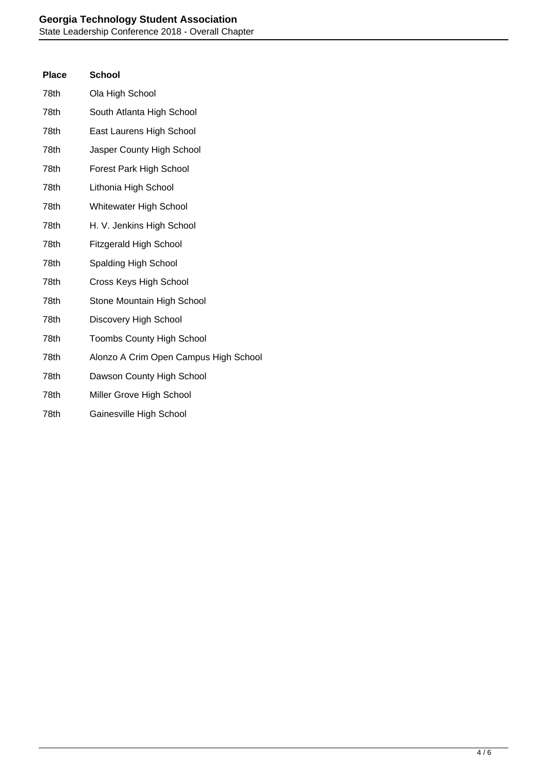| <b>Place</b> | <b>School</b>                         |
|--------------|---------------------------------------|
| 78th         | Ola High School                       |
| 78th         | South Atlanta High School             |
| 78th         | East Laurens High School              |
| 78th         | Jasper County High School             |
| 78th         | Forest Park High School               |
| 78th         | Lithonia High School                  |
| 78th         | Whitewater High School                |
| 78th         | H. V. Jenkins High School             |
| 78th         | <b>Fitzgerald High School</b>         |
| 78th         | Spalding High School                  |
| 78th         | Cross Keys High School                |
| 78th         | Stone Mountain High School            |
| 78th         | Discovery High School                 |
| 78th         | <b>Toombs County High School</b>      |
| 78th         | Alonzo A Crim Open Campus High School |
| 78th         | Dawson County High School             |
| 78th         | Miller Grove High School              |
| 78th         | Gainesville High School               |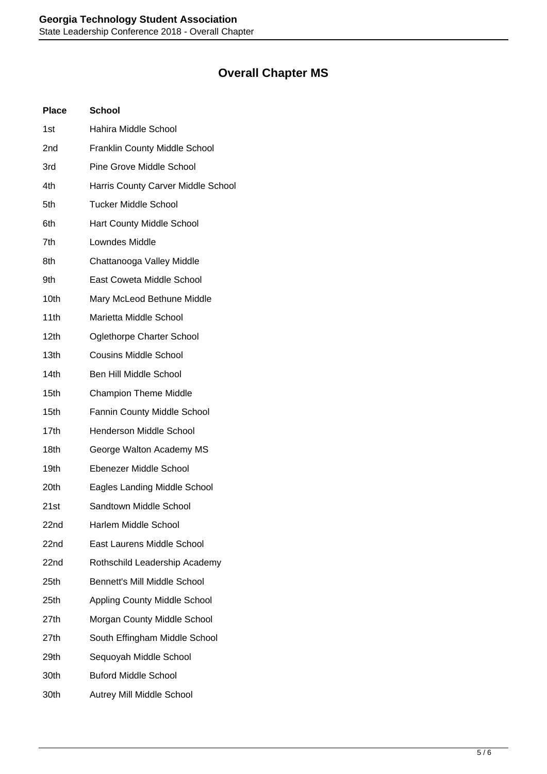## **Overall Chapter MS**

| <b>Place</b>     | <b>School</b>                        |
|------------------|--------------------------------------|
| 1st              | Hahira Middle School                 |
| 2nd              | <b>Franklin County Middle School</b> |
| 3rd              | <b>Pine Grove Middle School</b>      |
| 4th              | Harris County Carver Middle School   |
| 5th              | <b>Tucker Middle School</b>          |
| 6th              | <b>Hart County Middle School</b>     |
| 7th              | Lowndes Middle                       |
| 8th              | Chattanooga Valley Middle            |
| 9th              | East Coweta Middle School            |
| 10th             | Mary McLeod Bethune Middle           |
| 11th             | Marietta Middle School               |
| 12 <sub>th</sub> | <b>Oglethorpe Charter School</b>     |
| 13th             | <b>Cousins Middle School</b>         |
| 14th             | Ben Hill Middle School               |
| 15th             | <b>Champion Theme Middle</b>         |
| 15th             | Fannin County Middle School          |
| 17th             | <b>Henderson Middle School</b>       |
| 18th             | George Walton Academy MS             |
| 19th             | Ebenezer Middle School               |
| 20th             | Eagles Landing Middle School         |
| 21st             | Sandtown Middle School               |
| 22nd             | Harlem Middle School                 |
| 22nd             | East Laurens Middle School           |
| 22nd             | Rothschild Leadership Academy        |
| 25th             | Bennett's Mill Middle School         |
| 25th             | <b>Appling County Middle School</b>  |
| 27th             | Morgan County Middle School          |
| 27th             | South Effingham Middle School        |
| 29th             | Sequoyah Middle School               |
| 30th             | <b>Buford Middle School</b>          |
| 30th             | Autrey Mill Middle School            |